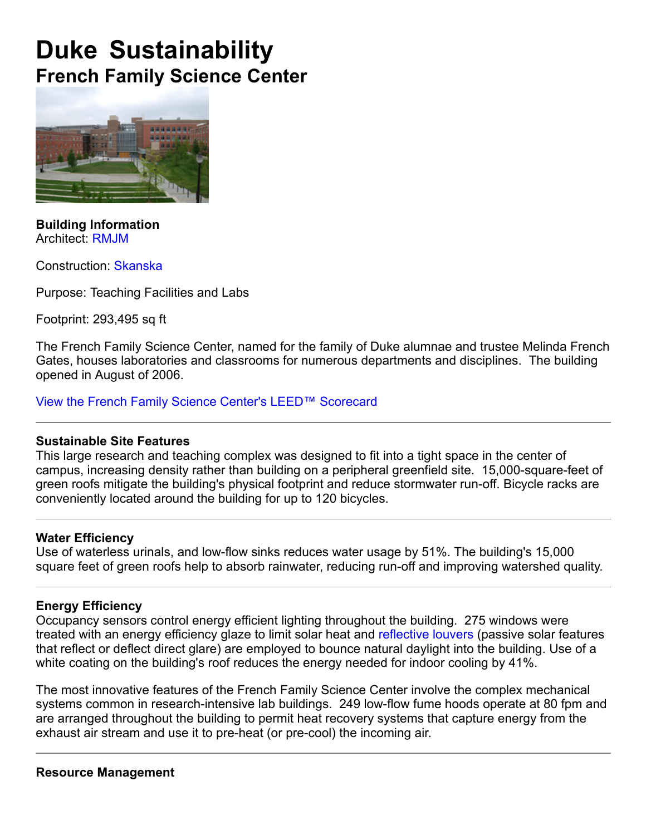# **Duke Sustainability French Family Science Center**



**Building Information** Architect: RMJM

Construction: Skanska

Purpose: Teaching Facilities and Labs

Footprint: 293,495 sq ft

The French Family Science Center, named for the family of Duke alumnae and trustee Melinda French Gates, houses laboratories and classrooms for numerous departments and disciplines. The building opened in August of 2006.

View the French Family Science Center's LEED™ Scorecard

## **Sustainable Site Features**

This large research and teaching complex was designed to fit into a tight space in the center of campus, increasing density rather than building on a peripheral greenfield site. 15,000-square-feet of green roofs mitigate the building's physical footprint and reduce stormwater run-off. Bicycle racks are conveniently located around the building for up to 120 bicycles.

## **Water Efficiency**

Use of waterless urinals, and low-flow sinks reduces water usage by 51%. The building's 15,000 square feet of green roofs help to absorb rainwater, reducing run-off and improving watershed quality.

## **Energy Efficiency**

Occupancy sensors control energy efficient lighting throughout the building. 275 windows were treated with an energy efficiency glaze to limit solar heat and reflective louvers (passive solar features that reflect or deflect direct glare) are employed to bounce natural daylight into the building. Use of a white coating on the building's roof reduces the energy needed for indoor cooling by 41%.

The most innovative features of the French Family Science Center involve the complex mechanical systems common in research-intensive lab buildings. 249 low-flow fume hoods operate at 80 fpm and are arranged throughout the building to permit heat recovery systems that capture energy from the exhaust air stream and use it to pre-heat (or pre-cool) the incoming air.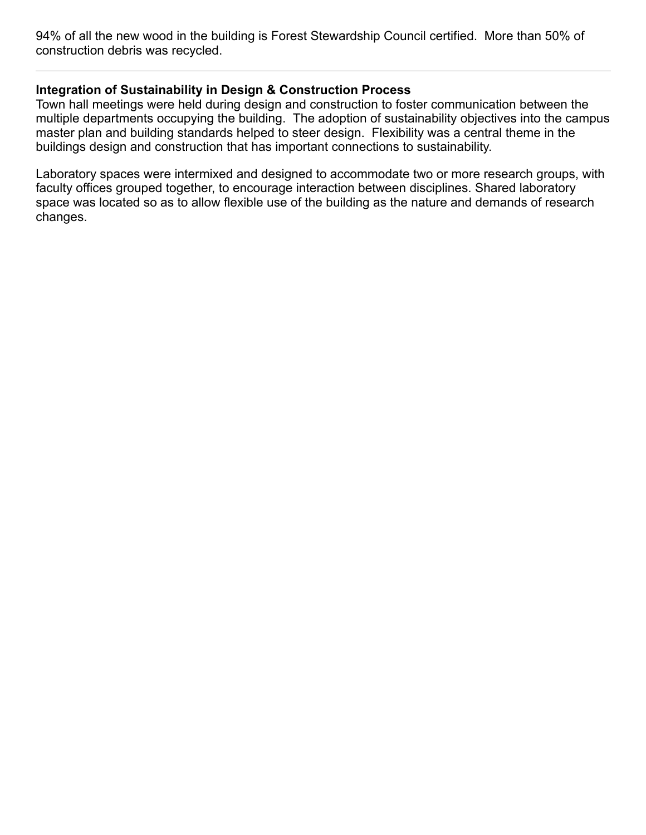94% of all the new wood in the building is Forest Stewardship Council certified. More than 50% of construction debris was recycled.

## **Integration of Sustainability in Design & Construction Process**

Town hall meetings were held during design and construction to foster communication between the multiple departments occupying the building. The adoption of sustainability objectives into the campus master plan and building standards helped to steer design. Flexibility was a central theme in the buildings design and construction that has important connections to sustainability.

Laboratory spaces were intermixed and designed to accommodate two or more research groups, with faculty offices grouped together, to encourage interaction between disciplines. Shared laboratory space was located so as to allow flexible use of the building as the nature and demands of research changes.